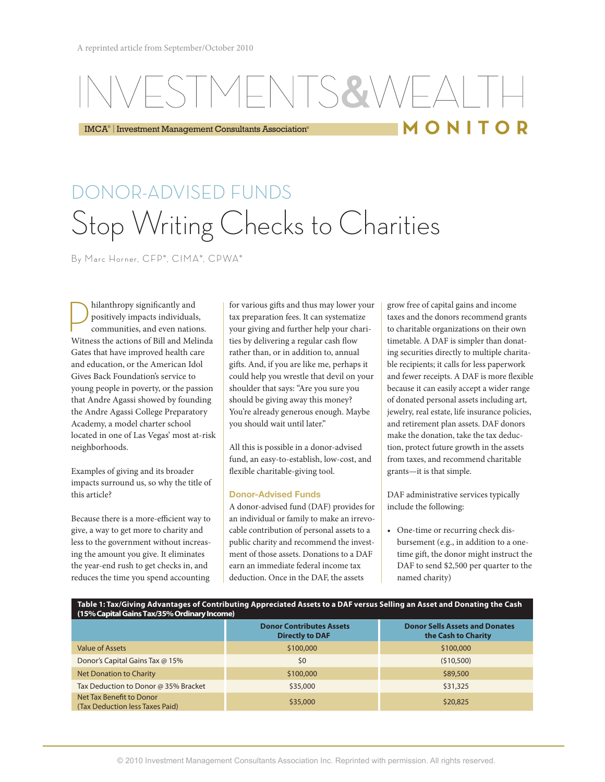## NIS&VVI MONITOR

IMCA® | Investment Management Consultants Association®

# DONOR-ADVISED FUNDS Stop Writing Checks to Charities

By Marc Horner, CFP®, CIMA®, CPWA®

hilanthropy significantly and<br>positively impacts individuals<br>communities, and even nation positively impacts individuals, communities, and even nations. Witness the actions of Bill and Melinda Gates that have improved health care and education, or the American Idol Gives Back Foundation's service to young people in poverty, or the passion that Andre Agassi showed by founding the Andre Agassi College Preparatory Academy, a model charter school located in one of Las Vegas' most at-risk neighborhoods.

Examples of giving and its broader impacts surround us, so why the title of this article?

Because there is a more-efficient way to give, a way to get more to charity and less to the government without increasing the amount you give. It eliminates the year-end rush to get checks in, and reduces the time you spend accounting

for various gifts and thus may lower your tax preparation fees. It can systematize your giving and further help your charities by delivering a regular cash flow rather than, or in addition to, annual gifts. And, if you are like me, perhaps it could help you wrestle that devil on your shoulder that says: "Are you sure you should be giving away this money? You're already generous enough. Maybe you should wait until later."

All this is possible in a donor-advised fund, an easy-to-establish, low-cost, and flexible charitable-giving tool.

### Donor-Advised Funds

A donor-advised fund (DAF) provides for an individual or family to make an irrevocable contribution of personal assets to a public charity and recommend the investment of those assets. Donations to a DAF earn an immediate federal income tax deduction. Once in the DAF, the assets

grow free of capital gains and income taxes and the donors recommend grants to charitable organizations on their own timetable. A DAF is simpler than donating securities directly to multiple charitable recipients; it calls for less paperwork and fewer receipts. A DAF is more flexible because it can easily accept a wider range of donated personal assets including art, jewelry, real estate, life insurance policies, and retirement plan assets. DAF donors make the donation, take the tax deduction, protect future growth in the assets from taxes, and recommend charitable grants—it is that simple.

DAF administrative services typically include the following:

• One-time or recurring check disbursement (e.g., in addition to a onetime gift, the donor might instruct the DAF to send \$2,500 per quarter to the named charity)

### **Table 1: Tax/Giving Advantages of Contributing Appreciated Assets to a DAF versus Selling an Asset and Donating the Cash (15% Capital Gains Tax/35% Ordinary Income)**

|                                                             | <b>Donor Contributes Assets</b><br><b>Directly to DAF</b> | <b>Donor Sells Assets and Donates</b><br>the Cash to Charity |
|-------------------------------------------------------------|-----------------------------------------------------------|--------------------------------------------------------------|
| Value of Assets                                             | \$100,000                                                 | \$100,000                                                    |
| Donor's Capital Gains Tax @ 15%                             | \$0                                                       | (510,500)                                                    |
| Net Donation to Charity                                     | \$100,000                                                 | \$89,500                                                     |
| Tax Deduction to Donor @ 35% Bracket                        | \$35,000                                                  | \$31,325                                                     |
| Net Tax Benefit to Donor<br>(Tax Deduction less Taxes Paid) | \$35,000                                                  | \$20,825                                                     |